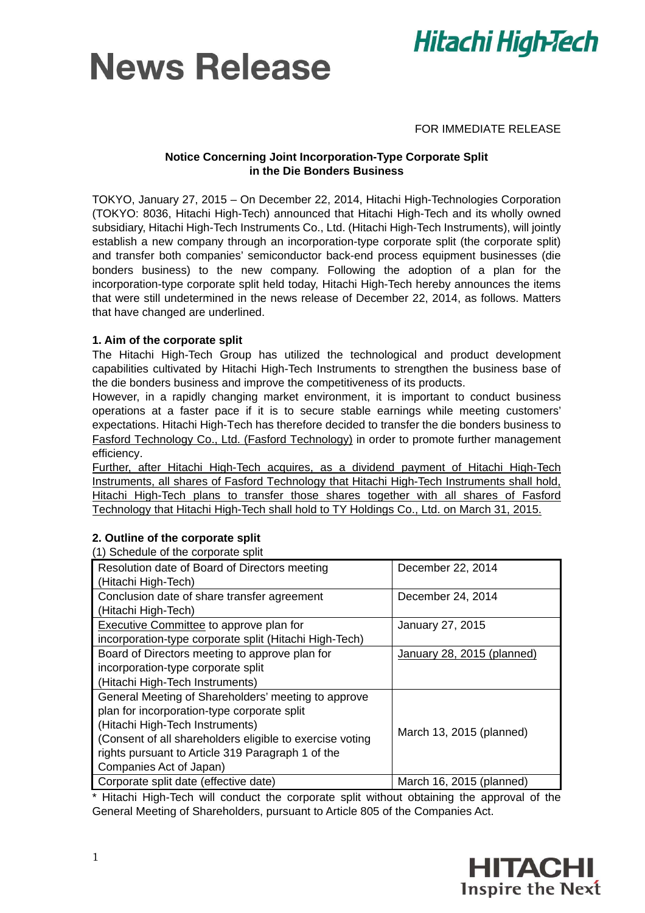



## FOR IMMEDIATE RELEASE

## **Notice Concerning Joint Incorporation-Type Corporate Split in the Die Bonders Business**

TOKYO, January 27, 2015 – On December 22, 2014, Hitachi High-Technologies Corporation (TOKYO: 8036, Hitachi High-Tech) announced that Hitachi High-Tech and its wholly owned subsidiary, Hitachi High-Tech Instruments Co., Ltd. (Hitachi High-Tech Instruments), will jointly establish a new company through an incorporation-type corporate split (the corporate split) and transfer both companies' semiconductor back-end process equipment businesses (die bonders business) to the new company. Following the adoption of a plan for the incorporation-type corporate split held today, Hitachi High-Tech hereby announces the items that were still undetermined in the news release of December 22, 2014, as follows. Matters that have changed are underlined.

## **1. Aim of the corporate split**

The Hitachi High-Tech Group has utilized the technological and product development capabilities cultivated by Hitachi High-Tech Instruments to strengthen the business base of the die bonders business and improve the competitiveness of its products.

However, in a rapidly changing market environment, it is important to conduct business operations at a faster pace if it is to secure stable earnings while meeting customers' expectations. Hitachi High-Tech has therefore decided to transfer the die bonders business to Fasford Technology Co., Ltd. (Fasford Technology) in order to promote further management efficiency.

Further, after Hitachi High-Tech acquires, as a dividend payment of Hitachi High-Tech Instruments, all shares of Fasford Technology that Hitachi High-Tech Instruments shall hold, Hitachi High-Tech plans to transfer those shares together with all shares of Fasford Technology that Hitachi High-Tech shall hold to TY Holdings Co., Ltd. on March 31, 2015.

| <b>17 Corrodate of the corporate spin</b>                |                            |  |
|----------------------------------------------------------|----------------------------|--|
| Resolution date of Board of Directors meeting            | December 22, 2014          |  |
| (Hitachi High-Tech)                                      |                            |  |
| Conclusion date of share transfer agreement              | December 24, 2014          |  |
|                                                          |                            |  |
| (Hitachi High-Tech)                                      |                            |  |
| <b>Executive Committee to approve plan for</b>           | January 27, 2015           |  |
| incorporation-type corporate split (Hitachi High-Tech)   |                            |  |
| Board of Directors meeting to approve plan for           | January 28, 2015 (planned) |  |
| incorporation-type corporate split                       |                            |  |
| (Hitachi High-Tech Instruments)                          |                            |  |
| General Meeting of Shareholders' meeting to approve      |                            |  |
| plan for incorporation-type corporate split              |                            |  |
| (Hitachi High-Tech Instruments)                          |                            |  |
| (Consent of all shareholders eligible to exercise voting | March 13, 2015 (planned)   |  |
| rights pursuant to Article 319 Paragraph 1 of the        |                            |  |
| Companies Act of Japan)                                  |                            |  |
| Corporate split date (effective date)                    | March 16, 2015 (planned)   |  |

## **2. Outline of the corporate split**

(1) Schedule of the corporate split

\* Hitachi High-Tech will conduct the corporate split without obtaining the approval of the General Meeting of Shareholders, pursuant to Article 805 of the Companies Act.

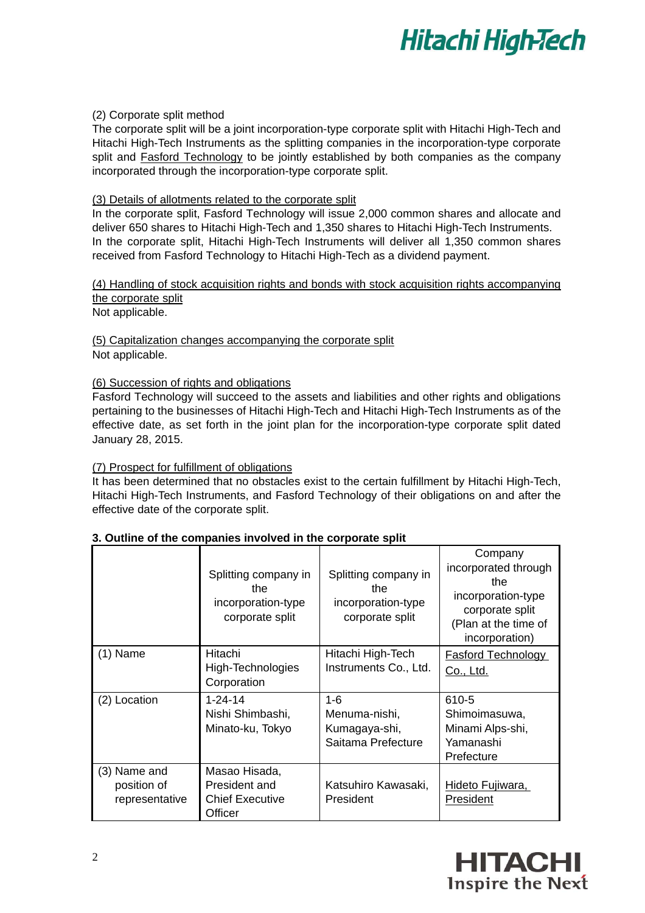

## (2) Corporate split method

The corporate split will be a joint incorporation-type corporate split with Hitachi High-Tech and Hitachi High-Tech Instruments as the splitting companies in the incorporation-type corporate split and Fasford Technology to be jointly established by both companies as the company incorporated through the incorporation-type corporate split.

### (3) Details of allotments related to the corporate split

In the corporate split, Fasford Technology will issue 2,000 common shares and allocate and deliver 650 shares to Hitachi High-Tech and 1,350 shares to Hitachi High-Tech Instruments. In the corporate split, Hitachi High-Tech Instruments will deliver all 1,350 common shares received from Fasford Technology to Hitachi High-Tech as a dividend payment.

(4) Handling of stock acquisition rights and bonds with stock acquisition rights accompanying the corporate split

Not applicable.

(5) Capitalization changes accompanying the corporate split Not applicable.

#### (6) Succession of rights and obligations

Fasford Technology will succeed to the assets and liabilities and other rights and obligations pertaining to the businesses of Hitachi High-Tech and Hitachi High-Tech Instruments as of the effective date, as set forth in the joint plan for the incorporation-type corporate split dated January 28, 2015.

### (7) Prospect for fulfillment of obligations

It has been determined that no obstacles exist to the certain fulfillment by Hitachi High-Tech, Hitachi High-Tech Instruments, and Fasford Technology of their obligations on and after the effective date of the corporate split.

|                                               | Splitting company in<br>the<br>incorporation-type<br>corporate split | Splitting company in<br>the<br>incorporation-type<br>corporate split | Company<br>incorporated through<br>the<br>incorporation-type<br>corporate split<br>(Plan at the time of<br>incorporation) |
|-----------------------------------------------|----------------------------------------------------------------------|----------------------------------------------------------------------|---------------------------------------------------------------------------------------------------------------------------|
| $(1)$ Name                                    | Hitachi<br>High-Technologies<br>Corporation                          | Hitachi High-Tech<br>Instruments Co., Ltd.                           | <b>Fasford Technology</b><br>Co., Ltd.                                                                                    |
| (2) Location                                  | $1 - 24 - 14$<br>Nishi Shimbashi,<br>Minato-ku, Tokyo                | $1 - 6$<br>Menuma-nishi.<br>Kumagaya-shi,<br>Saitama Prefecture      | 610-5<br>Shimoimasuwa,<br>Minami Alps-shi,<br>Yamanashi<br>Prefecture                                                     |
| (3) Name and<br>position of<br>representative | Masao Hisada,<br>President and<br><b>Chief Executive</b><br>Officer  | Katsuhiro Kawasaki,<br>President                                     | Hideto Fujiwara,<br>President                                                                                             |

### **3. Outline of the companies involved in the corporate split**

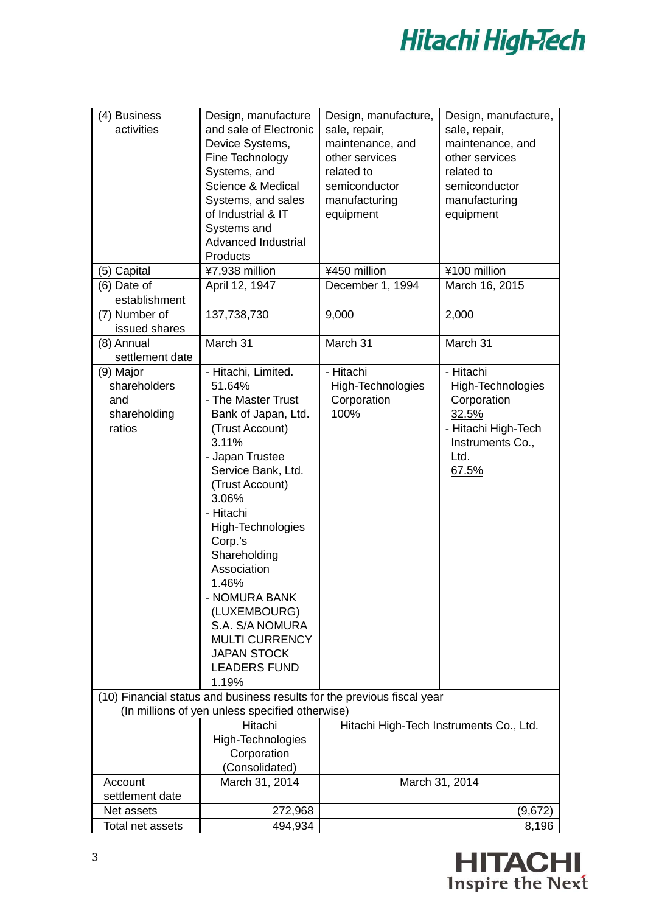

| (4) Business<br>activities                                 | Design, manufacture<br>and sale of Electronic<br>Device Systems,<br>Fine Technology<br>Systems, and<br>Science & Medical<br>Systems, and sales<br>of Industrial & IT<br>Systems and<br><b>Advanced Industrial</b><br>Products                                                                                                                                                                       | Design, manufacture,<br>sale, repair,<br>maintenance, and<br>other services<br>related to<br>semiconductor<br>manufacturing<br>equipment | Design, manufacture,<br>sale, repair,<br>maintenance, and<br>other services<br>related to<br>semiconductor<br>manufacturing<br>equipment |
|------------------------------------------------------------|-----------------------------------------------------------------------------------------------------------------------------------------------------------------------------------------------------------------------------------------------------------------------------------------------------------------------------------------------------------------------------------------------------|------------------------------------------------------------------------------------------------------------------------------------------|------------------------------------------------------------------------------------------------------------------------------------------|
| (5) Capital                                                | ¥7,938 million                                                                                                                                                                                                                                                                                                                                                                                      | ¥450 million                                                                                                                             | ¥100 million                                                                                                                             |
| (6) Date of                                                | April 12, 1947                                                                                                                                                                                                                                                                                                                                                                                      | December 1, 1994                                                                                                                         | March 16, 2015                                                                                                                           |
| establishment                                              |                                                                                                                                                                                                                                                                                                                                                                                                     |                                                                                                                                          |                                                                                                                                          |
| (7) Number of                                              | 137,738,730                                                                                                                                                                                                                                                                                                                                                                                         | 9,000                                                                                                                                    | 2,000                                                                                                                                    |
| issued shares<br>(8) Annual                                | March 31                                                                                                                                                                                                                                                                                                                                                                                            | March 31                                                                                                                                 | March 31                                                                                                                                 |
| settlement date                                            |                                                                                                                                                                                                                                                                                                                                                                                                     |                                                                                                                                          |                                                                                                                                          |
|                                                            |                                                                                                                                                                                                                                                                                                                                                                                                     |                                                                                                                                          |                                                                                                                                          |
| (9) Major<br>shareholders<br>and<br>shareholding<br>ratios | - Hitachi, Limited.<br>51.64%<br>- The Master Trust<br>Bank of Japan, Ltd.<br>(Trust Account)<br>3.11%<br>- Japan Trustee<br>Service Bank, Ltd.<br>(Trust Account)<br>3.06%<br>- Hitachi<br>High-Technologies<br>Corp.'s<br>Shareholding<br>Association<br>1.46%<br>- NOMURA BANK<br>(LUXEMBOURG)<br>S.A. S/A NOMURA<br><b>MULTI CURRENCY</b><br><b>JAPAN STOCK</b><br><b>LEADERS FUND</b><br>1.19% | - Hitachi<br>High-Technologies<br>Corporation<br>100%                                                                                    | - Hitachi<br>High-Technologies<br>Corporation<br>32.5%<br>- Hitachi High-Tech<br>Instruments Co.,<br>Ltd.<br>67.5%                       |
|                                                            | (10) Financial status and business results for the previous fiscal year                                                                                                                                                                                                                                                                                                                             |                                                                                                                                          |                                                                                                                                          |
|                                                            | (In millions of yen unless specified otherwise)                                                                                                                                                                                                                                                                                                                                                     |                                                                                                                                          |                                                                                                                                          |
|                                                            | Hitachi<br>High-Technologies<br>Corporation<br>(Consolidated)                                                                                                                                                                                                                                                                                                                                       |                                                                                                                                          | Hitachi High-Tech Instruments Co., Ltd.                                                                                                  |
| Account                                                    | March 31, 2014                                                                                                                                                                                                                                                                                                                                                                                      |                                                                                                                                          | March 31, 2014                                                                                                                           |
| settlement date                                            |                                                                                                                                                                                                                                                                                                                                                                                                     |                                                                                                                                          |                                                                                                                                          |
| Net assets                                                 | 272,968                                                                                                                                                                                                                                                                                                                                                                                             |                                                                                                                                          | (9,672)                                                                                                                                  |
| Total net assets                                           | 494,934                                                                                                                                                                                                                                                                                                                                                                                             |                                                                                                                                          | 8,196                                                                                                                                    |

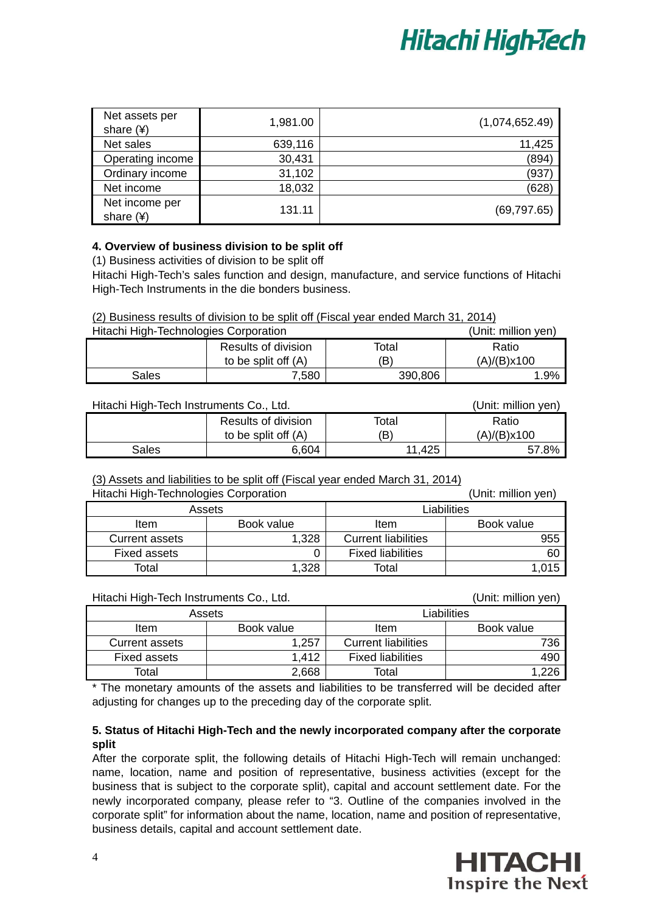

| Net assets per<br>share $(*)$ | 1,981.00 | (1,074,652.49) |
|-------------------------------|----------|----------------|
| Net sales                     | 639,116  | 11,425         |
| Operating income              | 30,431   | (894)          |
| Ordinary income               | 31,102   | (937)          |
| Net income                    | 18,032   | (628)          |
| Net income per<br>share $(4)$ | 131.11   | (69, 797.65)   |

## **4. Overview of business division to be split off**

(1) Business activities of division to be split off

Hitachi High-Tech's sales function and design, manufacture, and service functions of Hitachi High-Tech Instruments in the die bonders business.

### (2) Business results of division to be split off (Fiscal year ended March 31, 2014)

| Hitachi High-Technologies Corporation |                     |         | (Unit: million yen) |
|---------------------------------------|---------------------|---------|---------------------|
|                                       | Results of division | Total   | Ratio               |
|                                       | to be split off (A) | (B)     | (A)/(B)x100         |
| Sales                                 | 7.580               | 390,806 | 1.9%                |

| Hitachi High-Tech Instruments Co., Ltd. |                     |        | (Unit: million yen) |
|-----------------------------------------|---------------------|--------|---------------------|
|                                         | Results of division | Total  | Ratio               |
|                                         | to be split off (A) | ΈB,    | (A)/(B)x100         |
| Sales                                   | 6.604               | 11.425 | 57.8%               |

## (3) Assets and liabilities to be split off (Fiscal year ended March 31, 2014)

| Hitachi High-Technologies Corporation |            | (Unit: million yen)        |            |
|---------------------------------------|------------|----------------------------|------------|
| Assets                                |            | Liabilities                |            |
| <b>Item</b>                           | Book value | Item                       | Book value |
| Current assets                        | 1,328      | <b>Current liabilities</b> | 955        |
| Fixed assets                          | 0          | <b>Fixed liabilities</b>   | 60         |
| Total                                 | 1,328      | Total                      | 1,015      |

| Hitachi High-Tech Instruments Co., Ltd. |            |                            | (Unit: million yen) |
|-----------------------------------------|------------|----------------------------|---------------------|
| Assets                                  |            | Liabilities                |                     |
| ltem                                    | Book value | Item                       | Book value          |
| <b>Current assets</b>                   | 1,257      | <b>Current liabilities</b> | 736                 |
| Fixed assets                            | 1.412      | <b>Fixed liabilities</b>   | 490                 |
| Total                                   | 2,668      | Total                      | 1,226               |

The monetary amounts of the assets and liabilities to be transferred will be decided after adjusting for changes up to the preceding day of the corporate split.

## **5. Status of Hitachi High-Tech and the newly incorporated company after the corporate split**

After the corporate split, the following details of Hitachi High-Tech will remain unchanged: name, location, name and position of representative, business activities (except for the business that is subject to the corporate split), capital and account settlement date. For the newly incorporated company, please refer to "3. Outline of the companies involved in the corporate split" for information about the name, location, name and position of representative, business details, capital and account settlement date.